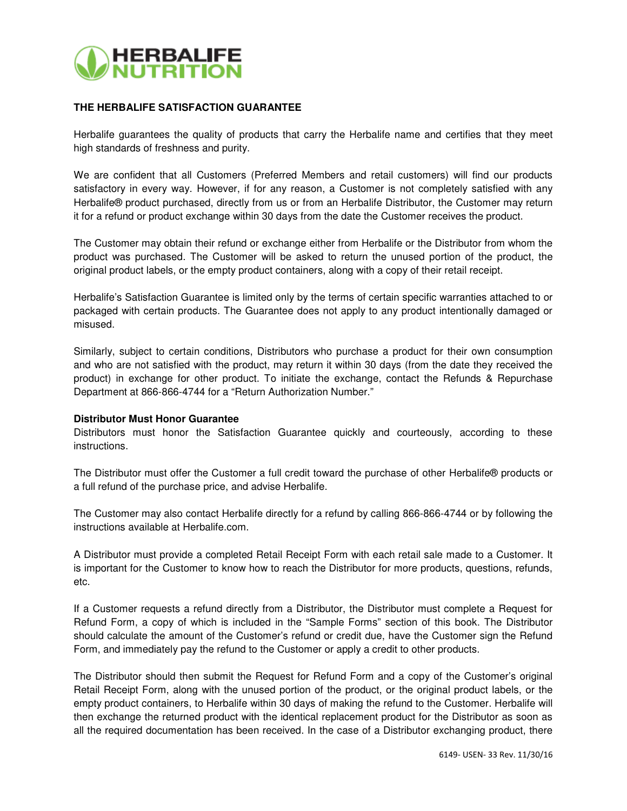

## **THE HERBALIFE SATISFACTION GUARANTEE**

Herbalife guarantees the quality of products that carry the Herbalife name and certifies that they meet high standards of freshness and purity.

We are confident that all Customers (Preferred Members and retail customers) will find our products satisfactory in every way. However, if for any reason, a Customer is not completely satisfied with any Herbalife® product purchased, directly from us or from an Herbalife Distributor, the Customer may return it for a refund or product exchange within 30 days from the date the Customer receives the product.

The Customer may obtain their refund or exchange either from Herbalife or the Distributor from whom the product was purchased. The Customer will be asked to return the unused portion of the product, the original product labels, or the empty product containers, along with a copy of their retail receipt.

Herbalife's Satisfaction Guarantee is limited only by the terms of certain specific warranties attached to or packaged with certain products. The Guarantee does not apply to any product intentionally damaged or misused.

Similarly, subject to certain conditions, Distributors who purchase a product for their own consumption and who are not satisfied with the product, may return it within 30 days (from the date they received the product) in exchange for other product. To initiate the exchange, contact the Refunds & Repurchase Department at 866-866-4744 for a "Return Authorization Number."

## **Distributor Must Honor Guarantee**

Distributors must honor the Satisfaction Guarantee quickly and courteously, according to these instructions.

The Distributor must offer the Customer a full credit toward the purchase of other Herbalife® products or a full refund of the purchase price, and advise Herbalife.

The Customer may also contact Herbalife directly for a refund by calling 866-866-4744 or by following the instructions available at Herbalife.com.

A Distributor must provide a completed Retail Receipt Form with each retail sale made to a Customer. It is important for the Customer to know how to reach the Distributor for more products, questions, refunds, etc.

If a Customer requests a refund directly from a Distributor, the Distributor must complete a Request for Refund Form, a copy of which is included in the "Sample Forms" section of this book. The Distributor should calculate the amount of the Customer's refund or credit due, have the Customer sign the Refund Form, and immediately pay the refund to the Customer or apply a credit to other products.

The Distributor should then submit the Request for Refund Form and a copy of the Customer's original Retail Receipt Form, along with the unused portion of the product, or the original product labels, or the empty product containers, to Herbalife within 30 days of making the refund to the Customer. Herbalife will then exchange the returned product with the identical replacement product for the Distributor as soon as all the required documentation has been received. In the case of a Distributor exchanging product, there